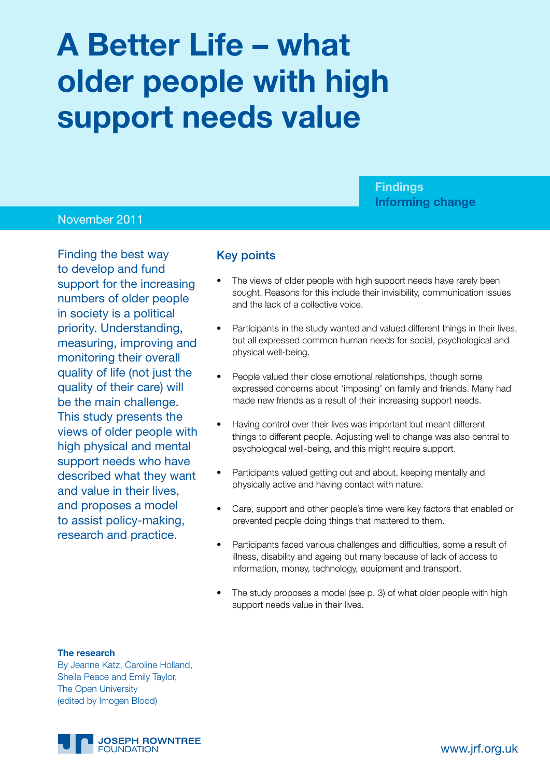# **A Better Life – what older people with high support needs value**

**Findings Informing change**

## November 2011

Finding the best way to develop and fund support for the increasing numbers of older people in society is a political priority. Understanding, measuring, improving and monitoring their overall quality of life (not just the quality of their care) will be the main challenge. This study presents the views of older people with high physical and mental support needs who have described what they want and value in their lives, and proposes a model to assist policy-making, research and practice.

### Key points

- The views of older people with high support needs have rarely been sought. Reasons for this include their invisibility, communication issues and the lack of a collective voice.
- Participants in the study wanted and valued different things in their lives, but all expressed common human needs for social, psychological and physical well-being.
- People valued their close emotional relationships, though some expressed concerns about 'imposing' on family and friends. Many had made new friends as a result of their increasing support needs.
- Having control over their lives was important but meant different things to different people. Adjusting well to change was also central to psychological well-being, and this might require support.
- Participants valued getting out and about, keeping mentally and physically active and having contact with nature.
- Care, support and other people's time were key factors that enabled or prevented people doing things that mattered to them.
- Participants faced various challenges and difficulties, some a result of illness, disability and ageing but many because of lack of access to information, money, technology, equipment and transport.
- The study proposes a model (see p. 3) of what older people with high support needs value in their lives.

#### **The research**

By Jeanne Katz, Caroline Holland, Sheila Peace and Emily Taylor, The Open University (edited by Imogen Blood)

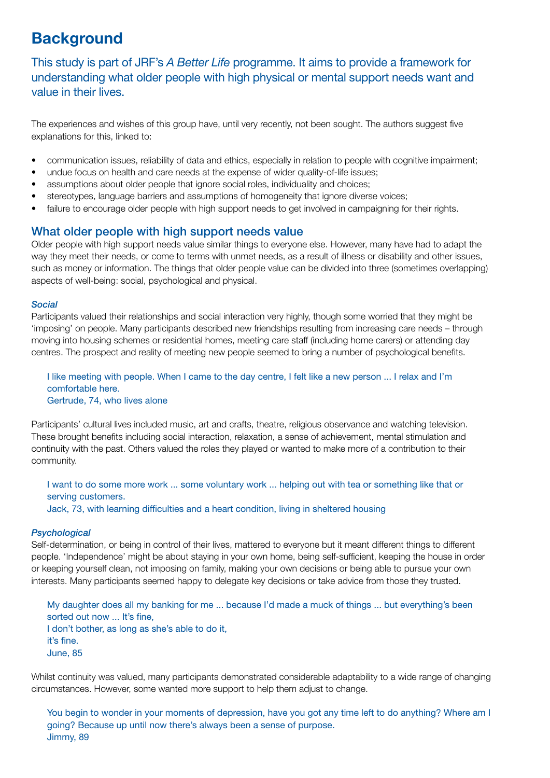## **Background**

This study is part of JRF's *A Better Life* programme. It aims to provide a framework for understanding what older people with high physical or mental support needs want and value in their lives.

The experiences and wishes of this group have, until very recently, not been sought. The authors suggest five explanations for this, linked to:

- communication issues, reliability of data and ethics, especially in relation to people with cognitive impairment;
- undue focus on health and care needs at the expense of wider quality-of-life issues;
- assumptions about older people that ignore social roles, individuality and choices;
- stereotypes, language barriers and assumptions of homogeneity that ignore diverse voices;
- failure to encourage older people with high support needs to get involved in campaigning for their rights.

#### What older people with high support needs value

Older people with high support needs value similar things to everyone else. However, many have had to adapt the way they meet their needs, or come to terms with unmet needs, as a result of illness or disability and other issues, such as money or information. The things that older people value can be divided into three (sometimes overlapping) aspects of well-being: social, psychological and physical.

#### *Social*

Participants valued their relationships and social interaction very highly, though some worried that they might be 'imposing' on people. Many participants described new friendships resulting from increasing care needs – through moving into housing schemes or residential homes, meeting care staff (including home carers) or attending day centres. The prospect and reality of meeting new people seemed to bring a number of psychological benefits.

#### I like meeting with people. When I came to the day centre, I felt like a new person ... I relax and I'm comfortable here. Gertrude, 74, who lives alone

Participants' cultural lives included music, art and crafts, theatre, religious observance and watching television. These brought benefits including social interaction, relaxation, a sense of achievement, mental stimulation and continuity with the past. Others valued the roles they played or wanted to make more of a contribution to their community.

I want to do some more work ... some voluntary work ... helping out with tea or something like that or serving customers. Jack, 73, with learning difficulties and a heart condition, living in sheltered housing

#### *Psychological*

Self-determination, or being in control of their lives, mattered to everyone but it meant different things to different people. 'Independence' might be about staying in your own home, being self-sufficient, keeping the house in order or keeping yourself clean, not imposing on family, making your own decisions or being able to pursue your own interests. Many participants seemed happy to delegate key decisions or take advice from those they trusted.

My daughter does all my banking for me ... because I'd made a muck of things ... but everything's been sorted out now ... It's fine, I don't bother, as long as she's able to do it, it's fine. June, 85

Whilst continuity was valued, many participants demonstrated considerable adaptability to a wide range of changing circumstances. However, some wanted more support to help them adjust to change.

You begin to wonder in your moments of depression, have you got any time left to do anything? Where am I going? Because up until now there's always been a sense of purpose. Jimmy, 89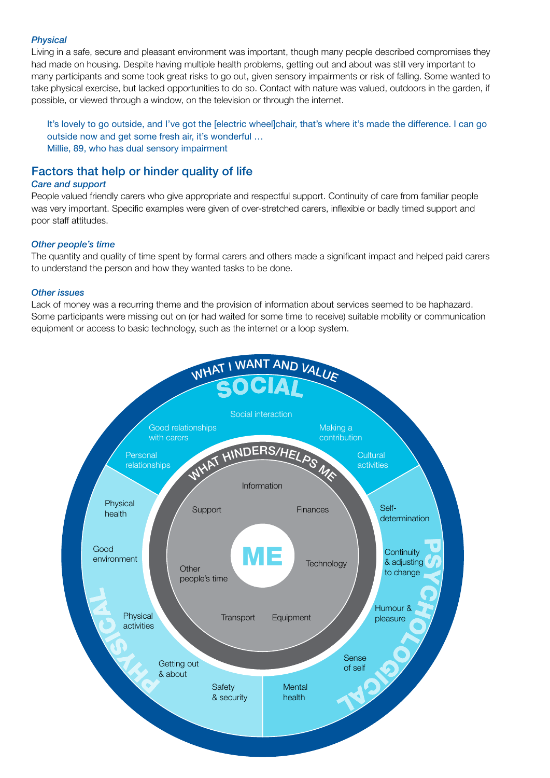#### *Physical*

Living in a safe, secure and pleasant environment was important, though many people described compromises they had made on housing. Despite having multiple health problems, getting out and about was still very important to many participants and some took great risks to go out, given sensory impairments or risk of falling. Some wanted to take physical exercise, but lacked opportunities to do so. Contact with nature was valued, outdoors in the garden, if possible, or viewed through a window, on the television or through the internet.

It's lovely to go outside, and I've got the [electric wheel]chair, that's where it's made the difference. I can go outside now and get some fresh air, it's wonderful … Millie, 89, who has dual sensory impairment

## Factors that help or hinder quality of life

#### *Care and support*

People valued friendly carers who give appropriate and respectful support. Continuity of care from familiar people was very important. Specific examples were given of over-stretched carers, inflexible or badly timed support and poor staff attitudes.

#### *Other people's time*

The quantity and quality of time spent by formal carers and others made a significant impact and helped paid carers to understand the person and how they wanted tasks to be done.

#### *Other issues*

Lack of money was a recurring theme and the provision of information about services seemed to be haphazard. Some participants were missing out on (or had waited for some time to receive) suitable mobility or communication equipment or access to basic technology, such as the internet or a loop system.